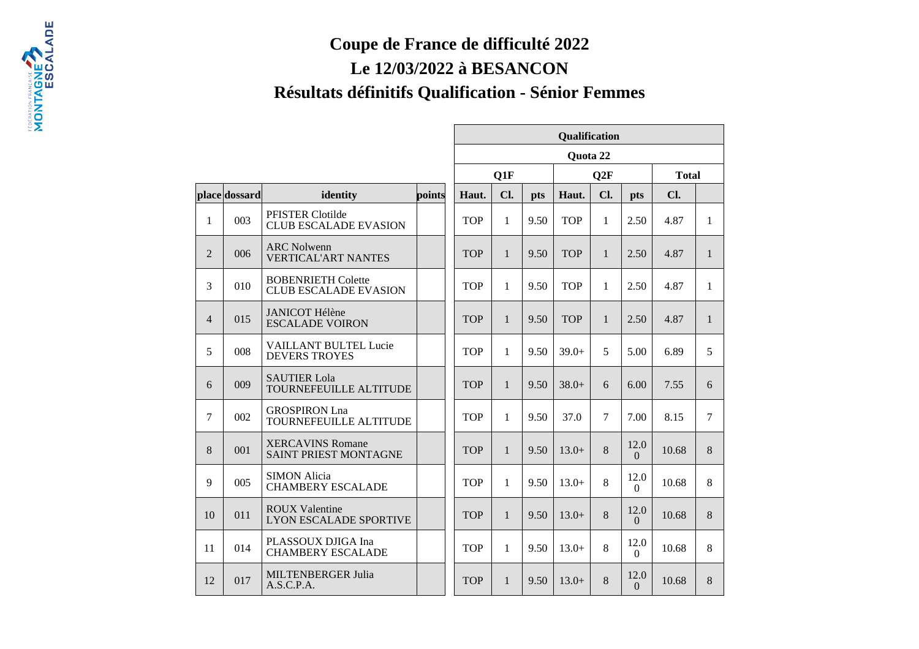## **Coupe de France de difficulté 2022**

## **Le 12/03/2022 à BESANCON**

FESEARION PRODUCTS AND E

## **Résultats définitifs Qualification - Sénior Femmes**

|                |               |                                                           |        | Qualification |              |      |            |              |                  |              |                |
|----------------|---------------|-----------------------------------------------------------|--------|---------------|--------------|------|------------|--------------|------------------|--------------|----------------|
|                |               |                                                           |        | Quota 22      |              |      |            |              |                  |              |                |
|                |               |                                                           |        | Q1F           |              |      | Q2F        |              |                  | <b>Total</b> |                |
|                | place dossard | identity                                                  | points | Haut.         | Cl.          | pts  | Haut.      | Cl.          | <b>pts</b>       | Cl.          |                |
| $\mathbf{1}$   | 003           | PFISTER Clotilde<br><b>CLUB ESCALADE EVASION</b>          |        | <b>TOP</b>    | 1            | 9.50 | <b>TOP</b> | $\mathbf{1}$ | 2.50             | 4.87         | $\mathbf{1}$   |
| $\overline{2}$ | 006           | <b>ARC Nolwenn</b><br><b>VERTICAL'ART NANTES</b>          |        | <b>TOP</b>    | $\mathbf{1}$ | 9.50 | <b>TOP</b> | $\mathbf{1}$ | 2.50             | 4.87         | $\mathbf{1}$   |
| 3              | 010           | <b>BOBENRIETH Colette</b><br><b>CLUB ESCALADE EVASION</b> |        | <b>TOP</b>    | $\mathbf{1}$ | 9.50 | <b>TOP</b> | $\mathbf{1}$ | 2.50             | 4.87         | $\mathbf{1}$   |
| $\overline{4}$ | 015           | <b>JANICOT Hélène</b><br><b>ESCALADE VOIRON</b>           |        | <b>TOP</b>    | $\mathbf{1}$ | 9.50 | <b>TOP</b> | $\mathbf{1}$ | 2.50             | 4.87         | $\mathbf{1}$   |
| 5              | 008           | <b>VAILLANT BULTEL Lucie</b><br><b>DEVERS TROYES</b>      |        | <b>TOP</b>    | 1            | 9.50 | $39.0+$    | 5            | 5.00             | 6.89         | 5              |
| 6              | 009           | <b>SAUTIER Lola</b><br>TOURNEFEUILLE ALTITUDE             |        | <b>TOP</b>    | $\mathbf{1}$ | 9.50 | $38.0+$    | 6            | 6.00             | 7.55         | 6              |
| $\tau$         | 002           | <b>GROSPIRON Lna</b><br>TOURNEFEUILLE ALTITUDE            |        | <b>TOP</b>    | 1            | 9.50 | 37.0       | $\tau$       | 7.00             | 8.15         | $\overline{7}$ |
| 8              | 001           | <b>XERCAVINS Romane</b><br><b>SAINT PRIEST MONTAGNE</b>   |        | <b>TOP</b>    | $\mathbf{1}$ | 9.50 | $13.0+$    | 8            | 12.0<br>$\Omega$ | 10.68        | 8              |
| 9              | 005           | <b>SIMON Alicia</b><br><b>CHAMBERY ESCALADE</b>           |        | <b>TOP</b>    | $\mathbf{1}$ | 9.50 | $13.0+$    | 8            | 12.0<br>$\theta$ | 10.68        | 8              |
| 10             | 011           | <b>ROUX Valentine</b><br><b>LYON ESCALADE SPORTIVE</b>    |        | <b>TOP</b>    | $\mathbf{1}$ | 9.50 | $13.0+$    | 8            | 12.0<br>$\Omega$ | 10.68        | 8              |
| 11             | 014           | PLASSOUX DJIGA Ina<br><b>CHAMBERY ESCALADE</b>            |        | <b>TOP</b>    | $\mathbf{1}$ | 9.50 | $13.0+$    | 8            | 12.0<br>$\Omega$ | 10.68        | 8              |
| 12             | 017           | <b>MILTENBERGER Julia</b><br>A.S.C.P.A.                   |        | <b>TOP</b>    | $\mathbf{1}$ | 9.50 | $13.0+$    | 8            | 12.0<br>$\Omega$ | 10.68        | 8              |